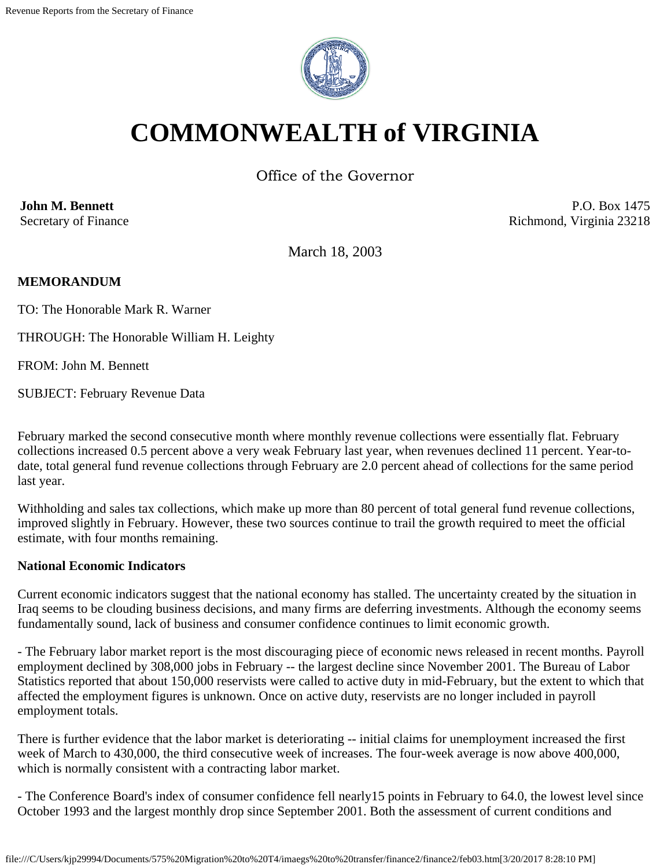

# **COMMONWEALTH of VIRGINIA**

Office of the Governor

**John M. Bennett** Secretary of Finance

P.O. Box 1475 Richmond, Virginia 23218

March 18, 2003

## **MEMORANDUM**

TO: The Honorable Mark R. Warner

THROUGH: The Honorable William H. Leighty

FROM: John M. Bennett

SUBJECT: February Revenue Data

February marked the second consecutive month where monthly revenue collections were essentially flat. February collections increased 0.5 percent above a very weak February last year, when revenues declined 11 percent. Year-todate, total general fund revenue collections through February are 2.0 percent ahead of collections for the same period last year.

Withholding and sales tax collections, which make up more than 80 percent of total general fund revenue collections, improved slightly in February. However, these two sources continue to trail the growth required to meet the official estimate, with four months remaining.

#### **National Economic Indicators**

Current economic indicators suggest that the national economy has stalled. The uncertainty created by the situation in Iraq seems to be clouding business decisions, and many firms are deferring investments. Although the economy seems fundamentally sound, lack of business and consumer confidence continues to limit economic growth.

- The February labor market report is the most discouraging piece of economic news released in recent months. Payroll employment declined by 308,000 jobs in February -- the largest decline since November 2001. The Bureau of Labor Statistics reported that about 150,000 reservists were called to active duty in mid-February, but the extent to which that affected the employment figures is unknown. Once on active duty, reservists are no longer included in payroll employment totals.

There is further evidence that the labor market is deteriorating -- initial claims for unemployment increased the first week of March to 430,000, the third consecutive week of increases. The four-week average is now above 400,000, which is normally consistent with a contracting labor market.

- The Conference Board's index of consumer confidence fell nearly15 points in February to 64.0, the lowest level since October 1993 and the largest monthly drop since September 2001. Both the assessment of current conditions and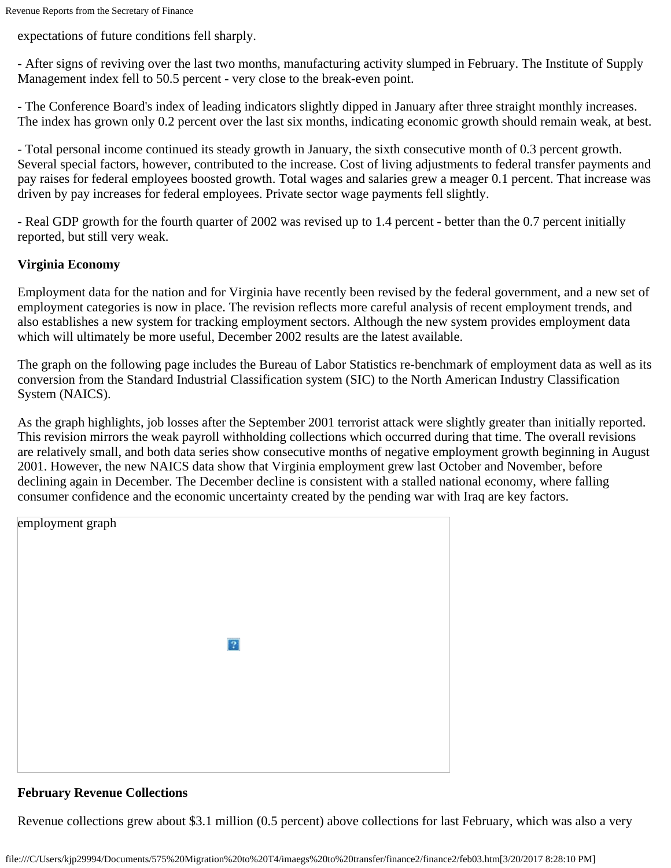expectations of future conditions fell sharply.

- After signs of reviving over the last two months, manufacturing activity slumped in February. The Institute of Supply Management index fell to 50.5 percent - very close to the break-even point.

- The Conference Board's index of leading indicators slightly dipped in January after three straight monthly increases. The index has grown only 0.2 percent over the last six months, indicating economic growth should remain weak, at best.

- Total personal income continued its steady growth in January, the sixth consecutive month of 0.3 percent growth. Several special factors, however, contributed to the increase. Cost of living adjustments to federal transfer payments and pay raises for federal employees boosted growth. Total wages and salaries grew a meager 0.1 percent. That increase was driven by pay increases for federal employees. Private sector wage payments fell slightly.

- Real GDP growth for the fourth quarter of 2002 was revised up to 1.4 percent - better than the 0.7 percent initially reported, but still very weak.

## **Virginia Economy**

Employment data for the nation and for Virginia have recently been revised by the federal government, and a new set of employment categories is now in place. The revision reflects more careful analysis of recent employment trends, and also establishes a new system for tracking employment sectors. Although the new system provides employment data which will ultimately be more useful, December 2002 results are the latest available.

The graph on the following page includes the Bureau of Labor Statistics re-benchmark of employment data as well as its conversion from the Standard Industrial Classification system (SIC) to the North American Industry Classification System (NAICS).

As the graph highlights, job losses after the September 2001 terrorist attack were slightly greater than initially reported. This revision mirrors the weak payroll withholding collections which occurred during that time. The overall revisions are relatively small, and both data series show consecutive months of negative employment growth beginning in August 2001. However, the new NAICS data show that Virginia employment grew last October and November, before declining again in December. The December decline is consistent with a stalled national economy, where falling consumer confidence and the economic uncertainty created by the pending war with Iraq are key factors.

| employment graph |
|------------------|
|                  |
|                  |
|                  |
|                  |
|                  |
| $\sqrt{2}$       |
|                  |
|                  |
|                  |
|                  |
|                  |
|                  |
|                  |

## **February Revenue Collections**

Revenue collections grew about \$3.1 million (0.5 percent) above collections for last February, which was also a very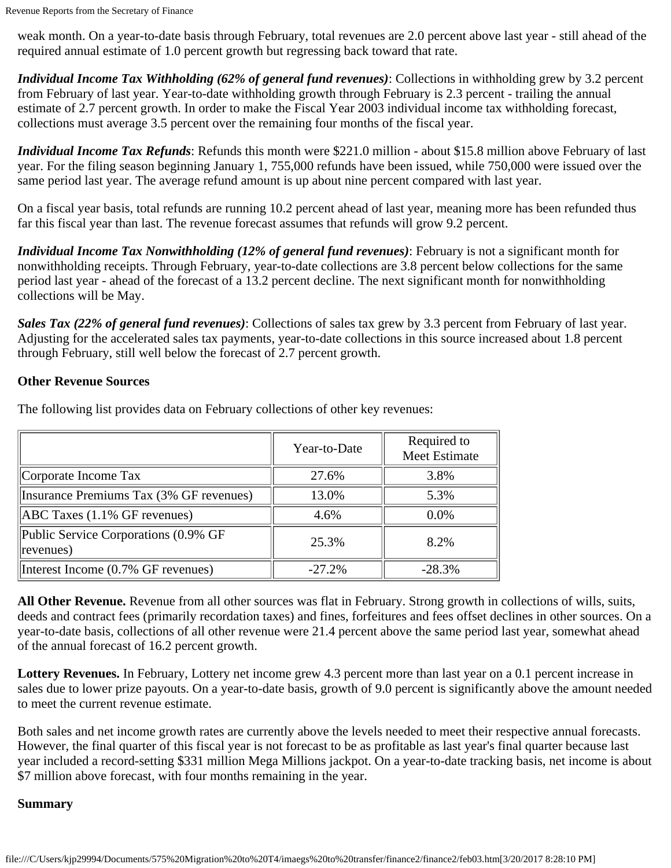weak month. On a year-to-date basis through February, total revenues are 2.0 percent above last year - still ahead of the required annual estimate of 1.0 percent growth but regressing back toward that rate.

*Individual Income Tax Withholding (62% of general fund revenues)*: Collections in withholding grew by 3.2 percent from February of last year. Year-to-date withholding growth through February is 2.3 percent - trailing the annual estimate of 2.7 percent growth. In order to make the Fiscal Year 2003 individual income tax withholding forecast, collections must average 3.5 percent over the remaining four months of the fiscal year.

*Individual Income Tax Refunds*: Refunds this month were \$221.0 million - about \$15.8 million above February of last year. For the filing season beginning January 1, 755,000 refunds have been issued, while 750,000 were issued over the same period last year. The average refund amount is up about nine percent compared with last year.

On a fiscal year basis, total refunds are running 10.2 percent ahead of last year, meaning more has been refunded thus far this fiscal year than last. The revenue forecast assumes that refunds will grow 9.2 percent.

*Individual Income Tax Nonwithholding (12% of general fund revenues)*: February is not a significant month for nonwithholding receipts. Through February, year-to-date collections are 3.8 percent below collections for the same period last year - ahead of the forecast of a 13.2 percent decline. The next significant month for nonwithholding collections will be May.

*Sales Tax (22% of general fund revenues)*: Collections of sales tax grew by 3.3 percent from February of last year. Adjusting for the accelerated sales tax payments, year-to-date collections in this source increased about 1.8 percent through February, still well below the forecast of 2.7 percent growth.

### **Other Revenue Sources**

|                                                          | Year-to-Date | Required to<br>Meet Estimate |
|----------------------------------------------------------|--------------|------------------------------|
| Corporate Income Tax                                     | 27.6%        | 3.8%                         |
| Insurance Premiums Tax (3% GF revenues)                  | 13.0%        | 5.3%                         |
| $[ABC$ Taxes $(1.1\%$ GF revenues)                       | 4.6%         | $0.0\%$                      |
| Public Service Corporations (0.9% GF<br>$ $ revenues $)$ | 25.3%        | 8.2%                         |
| Interest Income (0.7% GF revenues)                       | $-27.2%$     | $-28.3%$                     |

The following list provides data on February collections of other key revenues:

**All Other Revenue.** Revenue from all other sources was flat in February. Strong growth in collections of wills, suits, deeds and contract fees (primarily recordation taxes) and fines, forfeitures and fees offset declines in other sources. On a year-to-date basis, collections of all other revenue were 21.4 percent above the same period last year, somewhat ahead of the annual forecast of 16.2 percent growth.

**Lottery Revenues.** In February, Lottery net income grew 4.3 percent more than last year on a 0.1 percent increase in sales due to lower prize payouts. On a year-to-date basis, growth of 9.0 percent is significantly above the amount needed to meet the current revenue estimate.

Both sales and net income growth rates are currently above the levels needed to meet their respective annual forecasts. However, the final quarter of this fiscal year is not forecast to be as profitable as last year's final quarter because last year included a record-setting \$331 million Mega Millions jackpot. On a year-to-date tracking basis, net income is about \$7 million above forecast, with four months remaining in the year.

### **Summary**